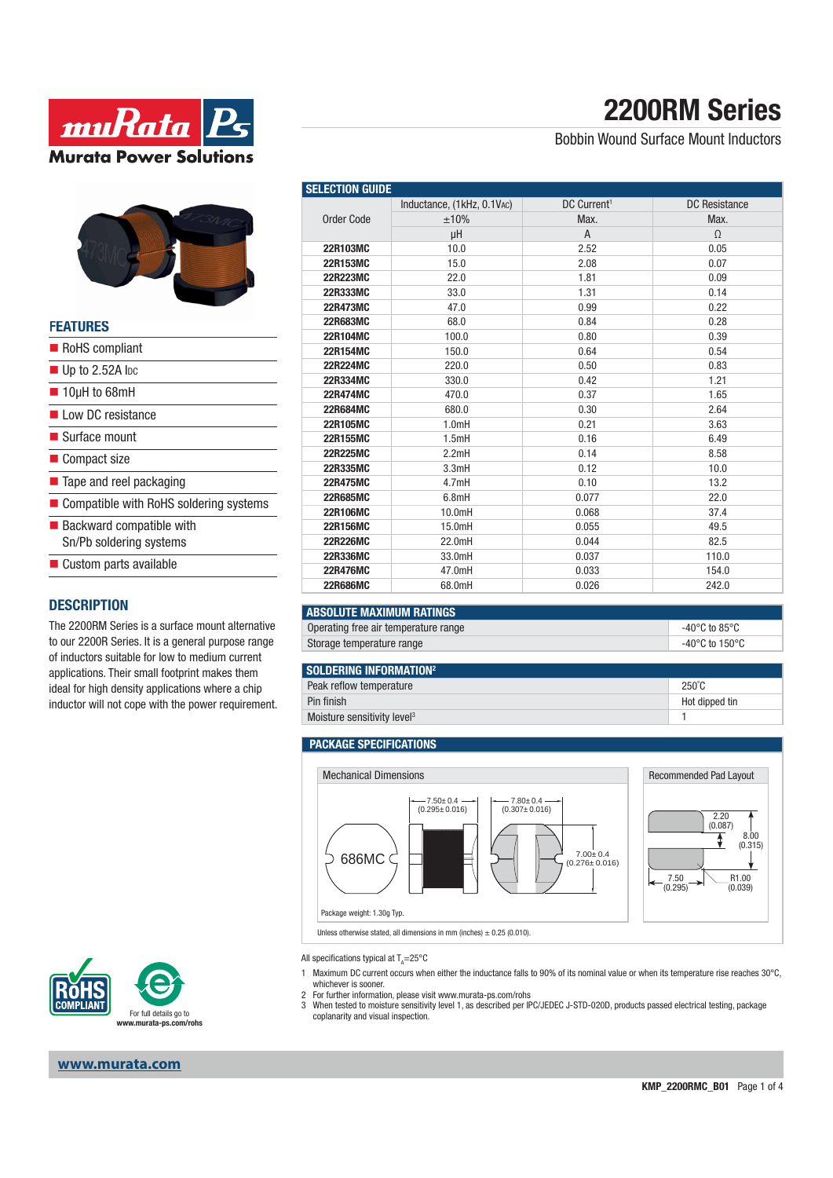



### **FEATURES**

| RoHS compliant                                                     |
|--------------------------------------------------------------------|
| $\blacksquare$ Up to 2.52A lpc                                     |
| $\blacksquare$ 10µH to 68mH                                        |
| Low DC resistance                                                  |
| ■ Surface mount                                                    |
| ■ Compact size                                                     |
| ■ Tape and reel packaging                                          |
| ■ Compatible with RoHS soldering systems                           |
| $\blacksquare$ Backward compatible with<br>Sn/Pb soldering systems |
| $\blacksquare$ Custom parts available                              |

### **DESCRIPTION**

The 2200RM Series is a surface mount alternative to our 2200R Series. It is a general purpose range of inductors suitable for low to medium current applications. Their small footprint makes them ideal for high density applications where a chip inductor will not cope with the power requirement.



### Bobbin Wound Surface Mount Inductors

| <b>SELECTION GUIDE</b> |                            |                         |                      |  |
|------------------------|----------------------------|-------------------------|----------------------|--|
| <b>Order Code</b>      | Inductance, (1kHz, 0.1VAC) | DC Current <sup>1</sup> | <b>DC Resistance</b> |  |
|                        | ±10%                       | Max.                    | Max.                 |  |
|                        | μH                         | A                       | $\Omega$             |  |
| 22R103MC               | 10.0                       | 2.52                    | 0.05                 |  |
| 22R153MC               | 15.0                       | 2.08                    | 0.07                 |  |
| <b>22R223MC</b>        | 22.0                       | 1.81                    | 0.09                 |  |
| 22R333MC               | 33.0                       | 1.31                    | 0.14                 |  |
| <b>22R473MC</b>        | 47.0                       | 0.99                    | 0.22                 |  |
| <b>22R683MC</b>        | 68.0                       | 0.84                    | 0.28                 |  |
| 22R104MC               | 100.0                      | 0.80                    | 0.39                 |  |
| 22R154MC               | 150.0                      | 0.64                    | 0.54                 |  |
| <b>22R224MC</b>        | 220.0                      | 0.50                    | 0.83                 |  |
| 22R334MC               | 330.0                      | 0.42                    | 1.21                 |  |
| 22R474MC               | 470.0                      | 0.37                    | 1.65                 |  |
| <b>22R684MC</b>        | 680.0                      | 0.30                    | 2.64                 |  |
| 22R105MC               | 1.0mH                      | 0.21                    | 3.63                 |  |
| 22R155MC               | 1.5mH                      | 0.16                    | 6.49                 |  |
| 22R225MC               | 2.2mH                      | 0.14                    | 8.58                 |  |
| 22R335MC               | 3.3mH                      | 0.12                    | 10.0                 |  |
| <b>22R475MC</b>        | 4.7mH                      | 0.10                    | 13.2                 |  |
| 22R685MC               | 6.8mH                      | 0.077                   | 22.0                 |  |
| 22R106MC               | 10.0mH                     | 0.068                   | 37.4                 |  |
| 22R156MC               | 15.0mH                     | 0.055                   | 49.5                 |  |
| <b>22R226MC</b>        | 22.0mH                     | 0.044                   | 82.5                 |  |
| 22R336MC               | 33.0mH                     | 0.037                   | 110.0                |  |
| <b>22R476MC</b>        | 47.0mH                     | 0.033                   | 154.0                |  |
| <b>22R686MC</b>        | 68.0mH                     | 0.026                   | 242.0                |  |

### **ABSOLUTE MAXIMUM RATINGS**

Operating free air temperature range  $-40^{\circ}$ C to 85°C Storage temperature range  $-40^{\circ}$ C to  $150^{\circ}$ C

#### **SOLDERING INFORMATION2**

Peak reflow temperature 250°C Pin finish Hot dipped tin

Moisture sensitivity level<sup>3</sup> 1

#### **PACKAGE SPECIFICATIONS**



Unless otherwise stated, all dimensions in mm (inches)  $\pm$  0.25 (0.010).



- 1 Maximum DC current occurs when either the inductance falls to 90% of its nominal value or when its temperature rise reaches 30°C, whichever is sooner.
- 
- 2 For further information, please visit www.murata-ps.com/rohs 3 When tested to moisture sensitivity level 1, as described per IPC/JEDEC J-STD-020D, products passed electrical testing, package coplanarity and visual inspection.



**www.murata.com**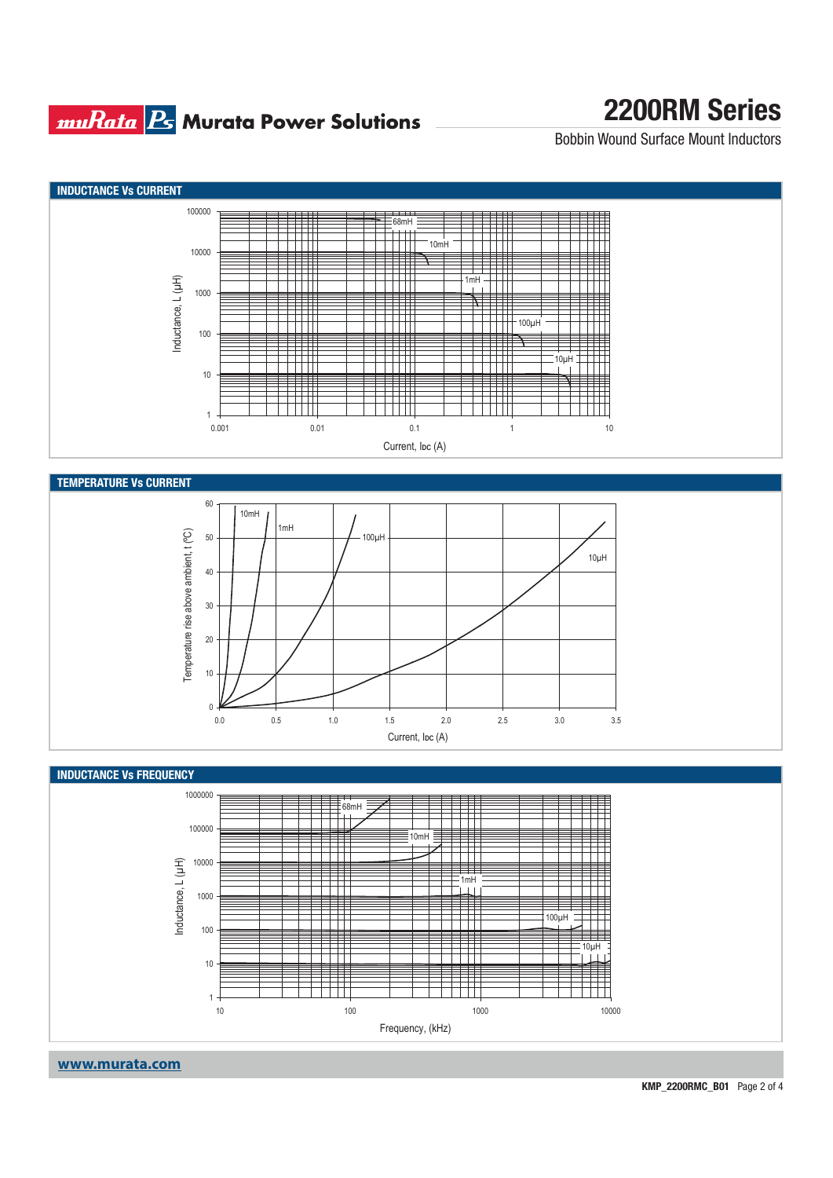## **muRata Ps** Murata Power Solutions

# **2200RM Series**

Bobbin Wound Surface Mount Inductors





**www.murata.com**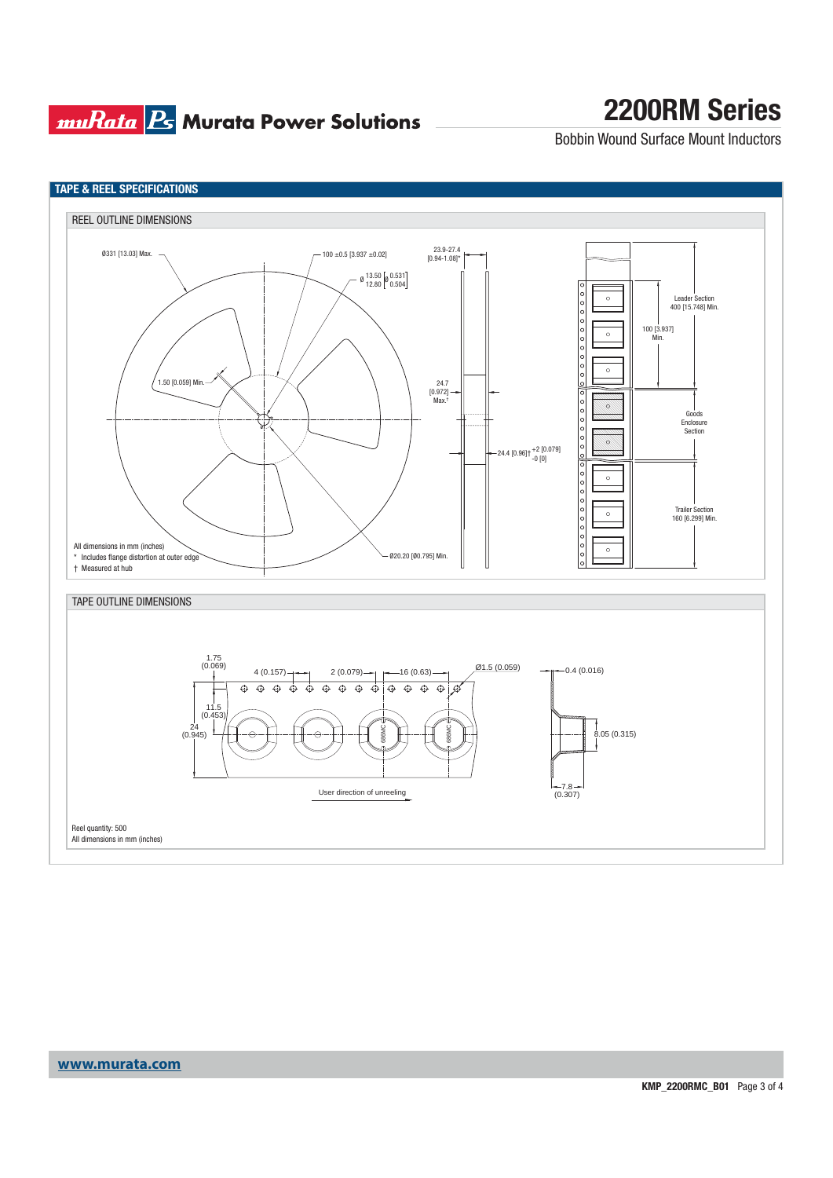## **muRata Ps** Murata Power Solutions

# **2200RM Series**

Bobbin Wound Surface Mount Inductors